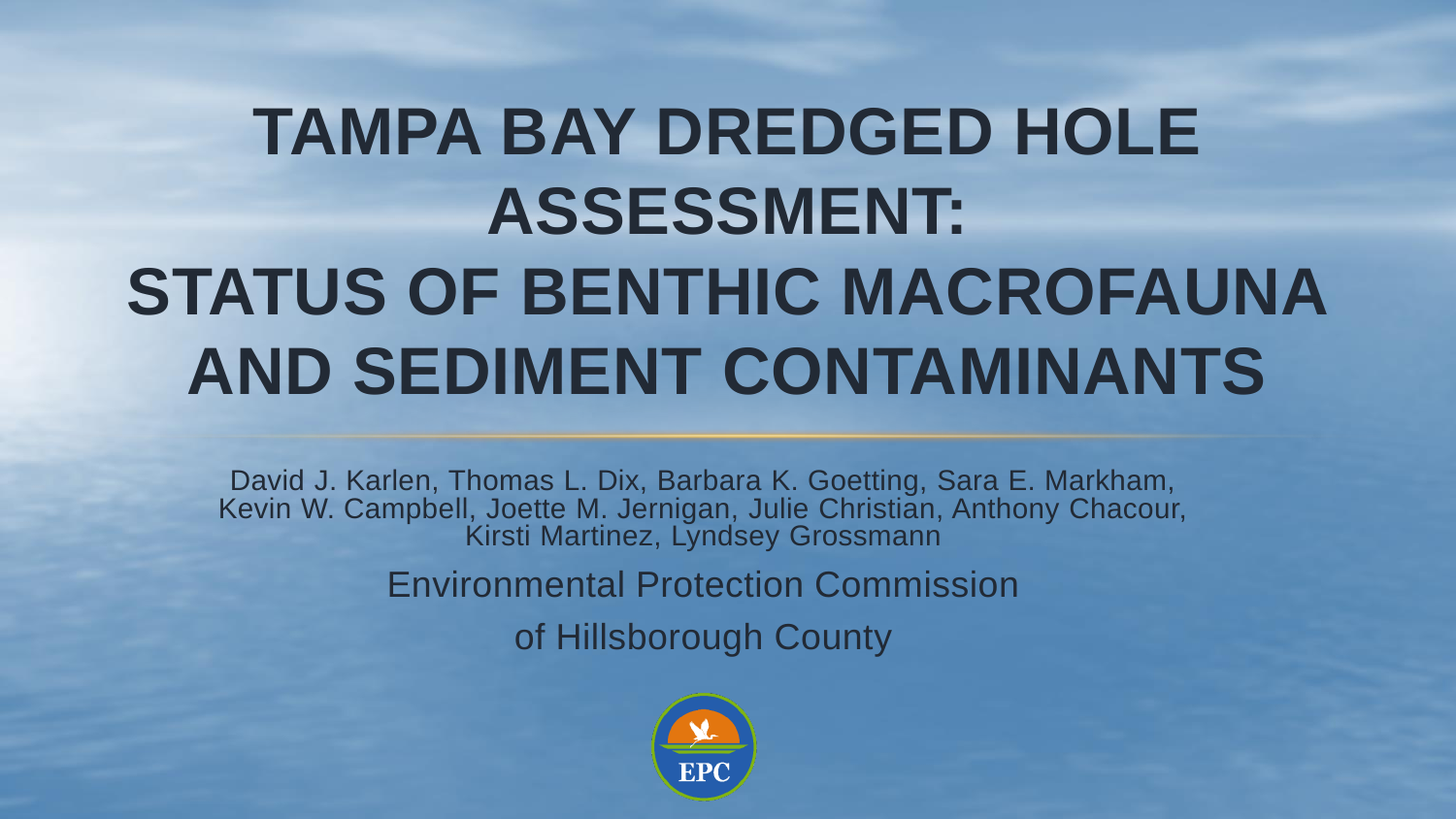# **TAMPA BAY DREDGED HOLE ASSESSMENT: STATUS OF BENTHIC MACROFAUNA AND SEDIMENT CONTAMINANTS**

David J. Karlen, Thomas L. Dix, Barbara K. Goetting, Sara E. Markham, Kevin W. Campbell, Joette M. Jernigan, Julie Christian, Anthony Chacour, Kirsti Martinez, Lyndsey Grossmann Environmental Protection Commission

of Hillsborough County

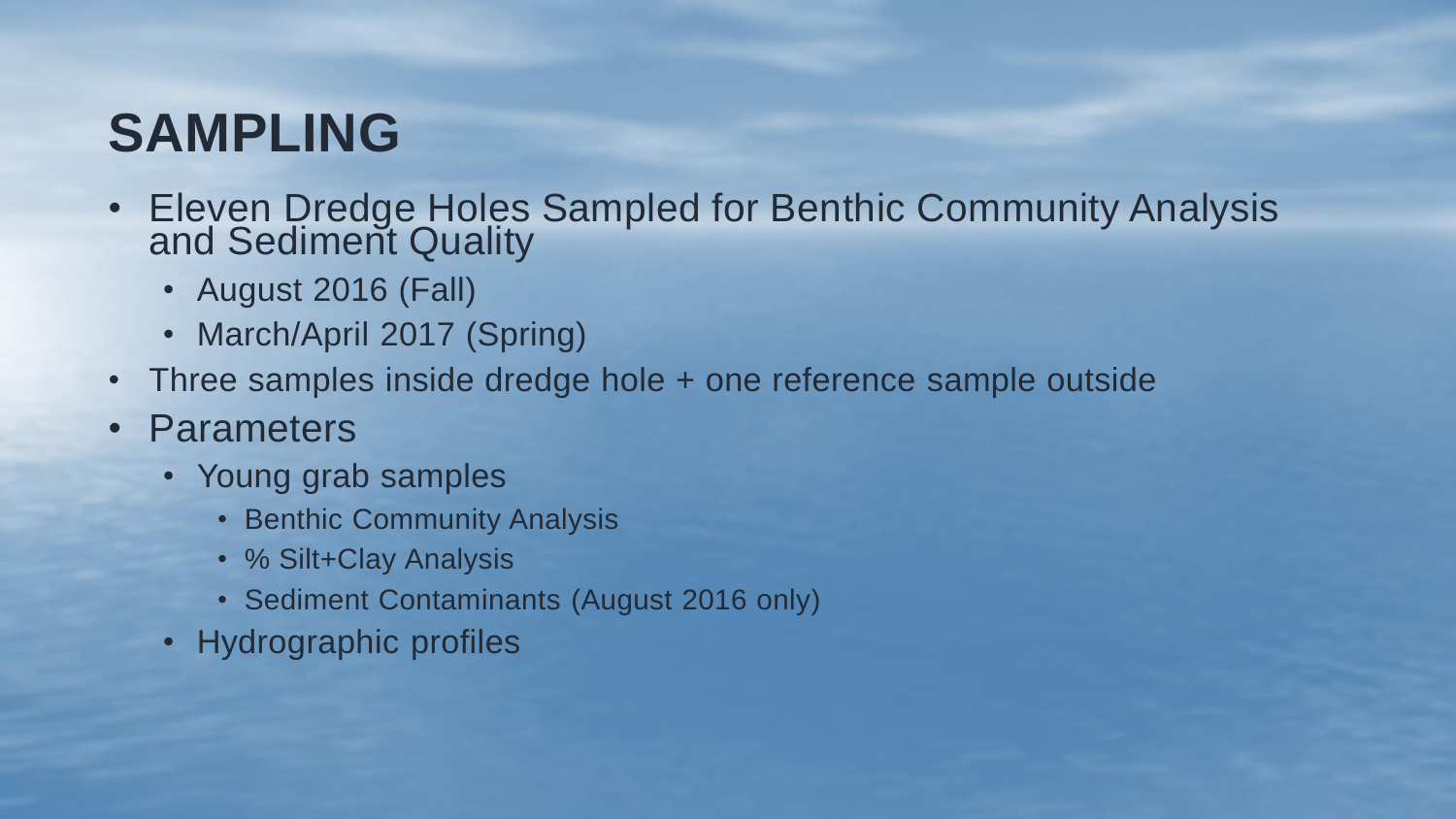#### **SAMPLING**

- Eleven Dredge Holes Sampled for Benthic Community Analysis and Sediment Quality
	- August 2016 (Fall)
	- March/April 2017 (Spring)
- Three samples inside dredge hole + one reference sample outside
- Parameters
	- Young grab samples
		- Benthic Community Analysis
		- % Silt+Clay Analysis
		- Sediment Contaminants (August 2016 only)
	- Hydrographic profiles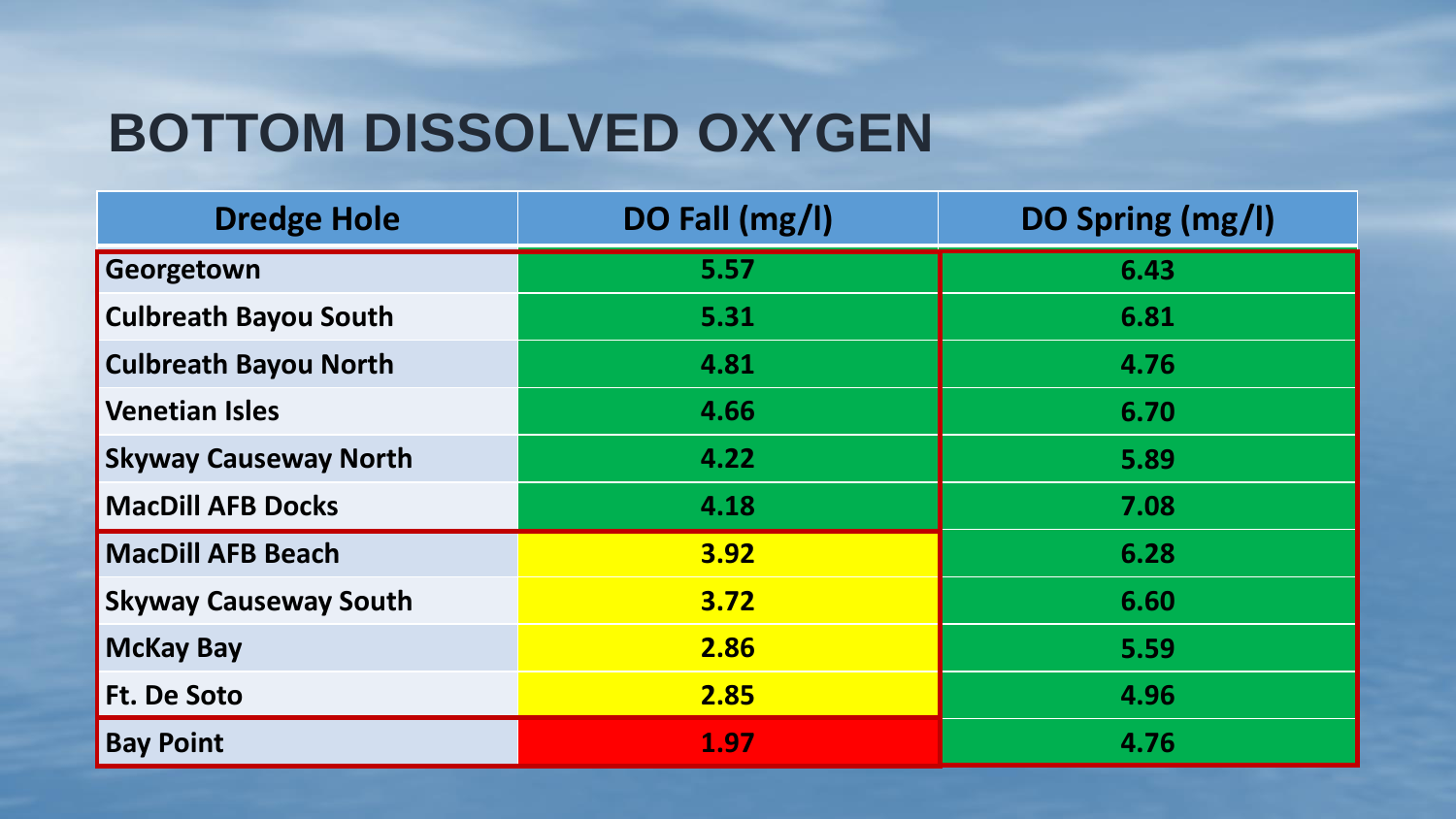# **BOTTOM DISSOLVED OXYGEN**

| <b>Dredge Hole</b>           | DO Fall (mg/l) | DO Spring (mg/l) |
|------------------------------|----------------|------------------|
| Georgetown                   | 5.57           | 6.43             |
| <b>Culbreath Bayou South</b> | 5.31           | 6.81             |
| <b>Culbreath Bayou North</b> | 4.81           | 4.76             |
| <b>Venetian Isles</b>        | 4.66           | 6.70             |
| <b>Skyway Causeway North</b> | 4.22           | 5.89             |
| <b>MacDill AFB Docks</b>     | 4.18           | 7.08             |
| <b>MacDill AFB Beach</b>     | 3.92           | 6.28             |
| <b>Skyway Causeway South</b> | 3.72           | 6.60             |
| <b>McKay Bay</b>             | 2.86           | 5.59             |
| <b>Ft. De Soto</b>           | 2.85           | 4.96             |
| <b>Bay Point</b>             | 1.97           | 4.76             |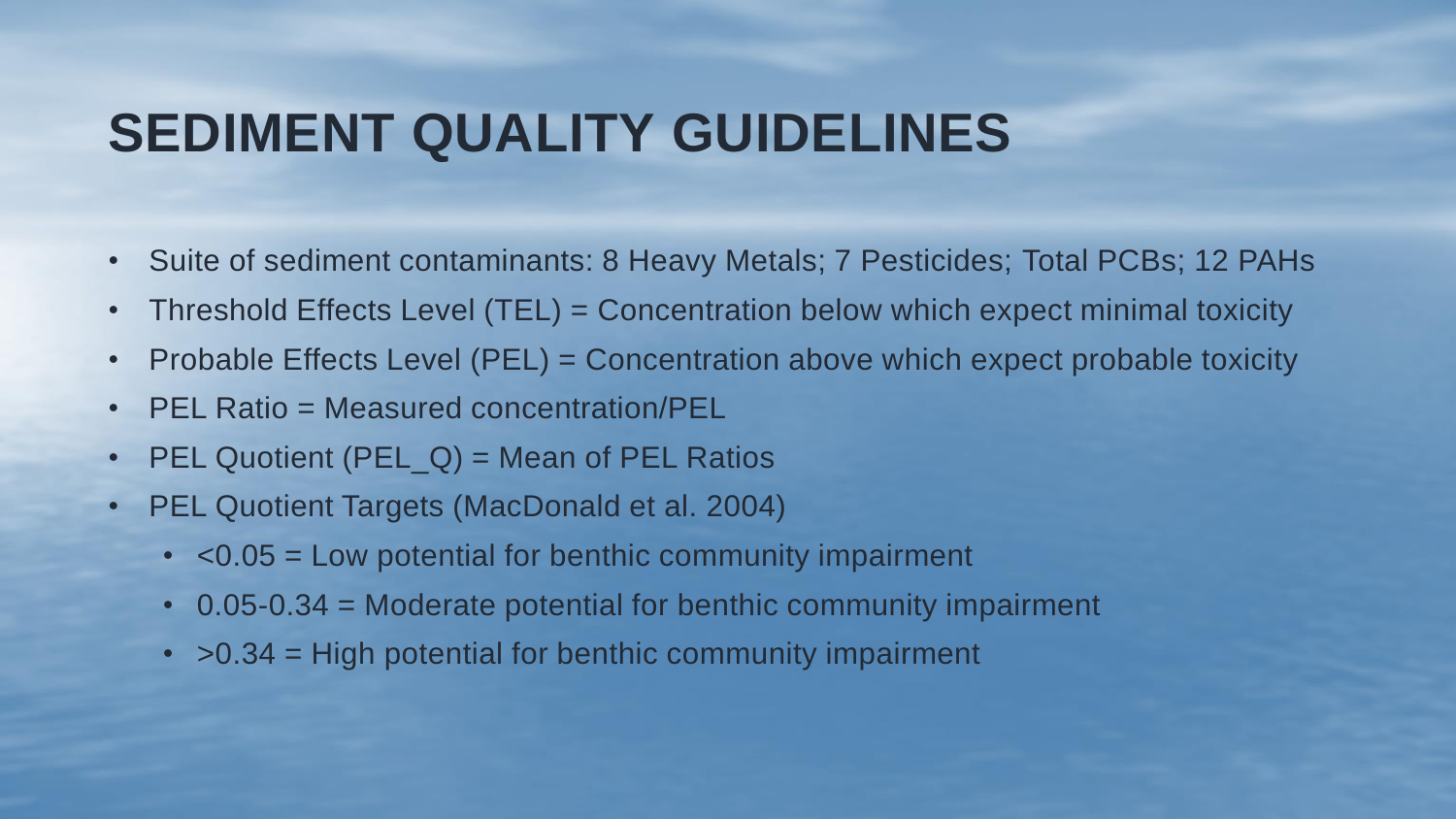#### **SEDIMENT QUALITY GUIDELINES**

- Suite of sediment contaminants: 8 Heavy Metals; 7 Pesticides; Total PCBs; 12 PAHs
- Threshold Effects Level (TEL) = Concentration below which expect minimal toxicity
- Probable Effects Level (PEL) = Concentration above which expect probable toxicity
- PEL Ratio = Measured concentration/PEL
- PEL Quotient  $(PEL_Q)$  = Mean of PEL Ratios
- PEL Quotient Targets (MacDonald et al. 2004)
	- <0.05 = Low potential for benthic community impairment
	- 0.05-0.34 = Moderate potential for benthic community impairment
	- $\cdot$  >0.34 = High potential for benthic community impairment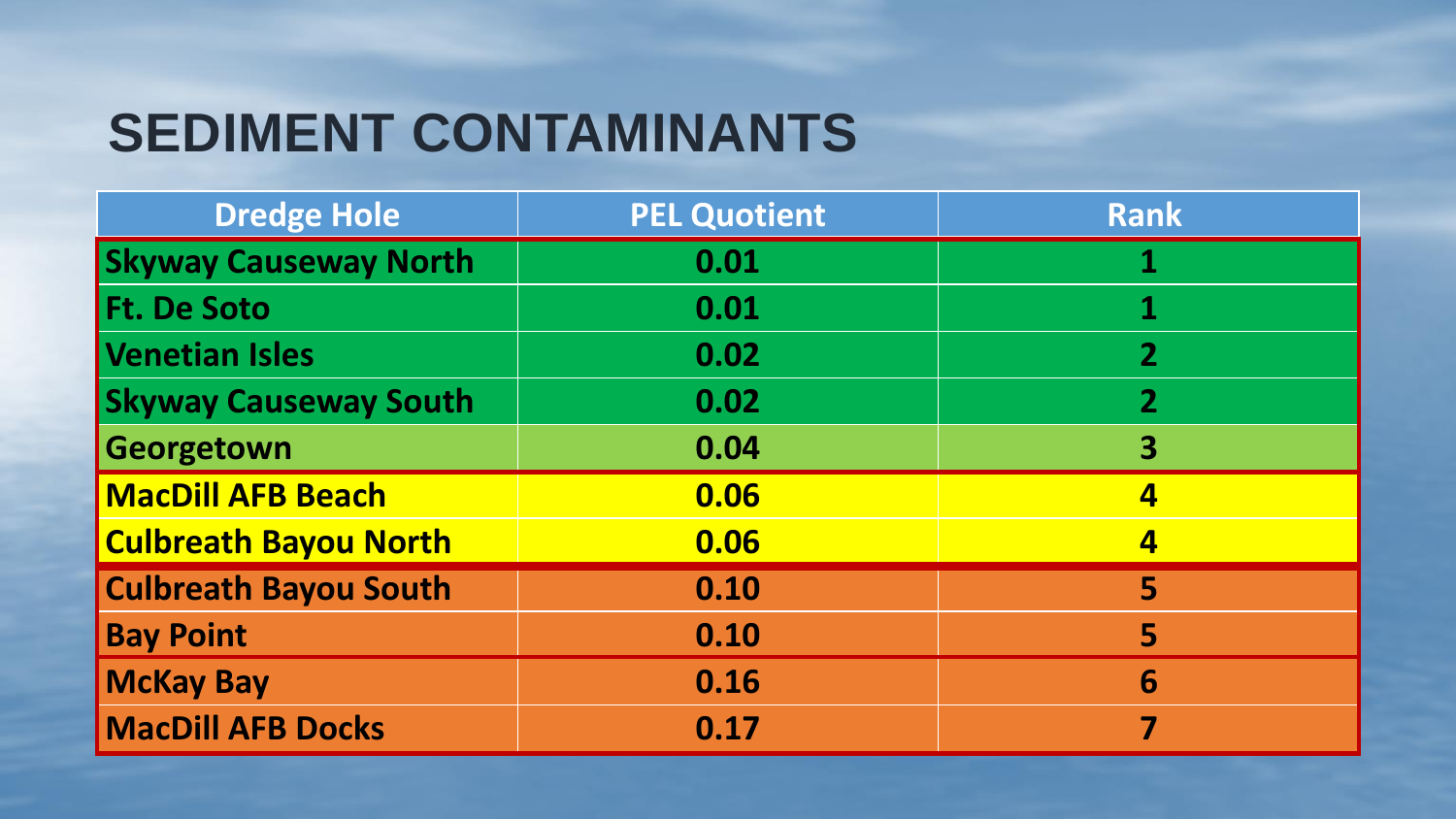# **SEDIMENT CONTAMINANTS**

| <b>Dredge Hole</b>           | <b>PEL Quotient</b> | <b>Rank</b>             |
|------------------------------|---------------------|-------------------------|
| <b>Skyway Causeway North</b> | 0.01                | 1                       |
| <b>Ft. De Soto</b>           | 0.01                | 1                       |
| Venetian Isles               | 0.02                | $\overline{2}$          |
| <b>Skyway Causeway South</b> | 0.02                | $\overline{2}$          |
| Georgetown                   | 0.04                | 3                       |
| <b>MacDill AFB Beach</b>     | 0.06                | $\overline{\mathbf{4}}$ |
| <b>Culbreath Bayou North</b> | 0.06                | $\overline{\mathbf{4}}$ |
| <b>Culbreath Bayou South</b> | 0.10                | 5                       |
| <b>Bay Point</b>             | 0.10                | 5                       |
| <b>McKay Bay</b>             | 0.16                | 6                       |
| <b>MacDill AFB Docks</b>     | 0.17                | 7                       |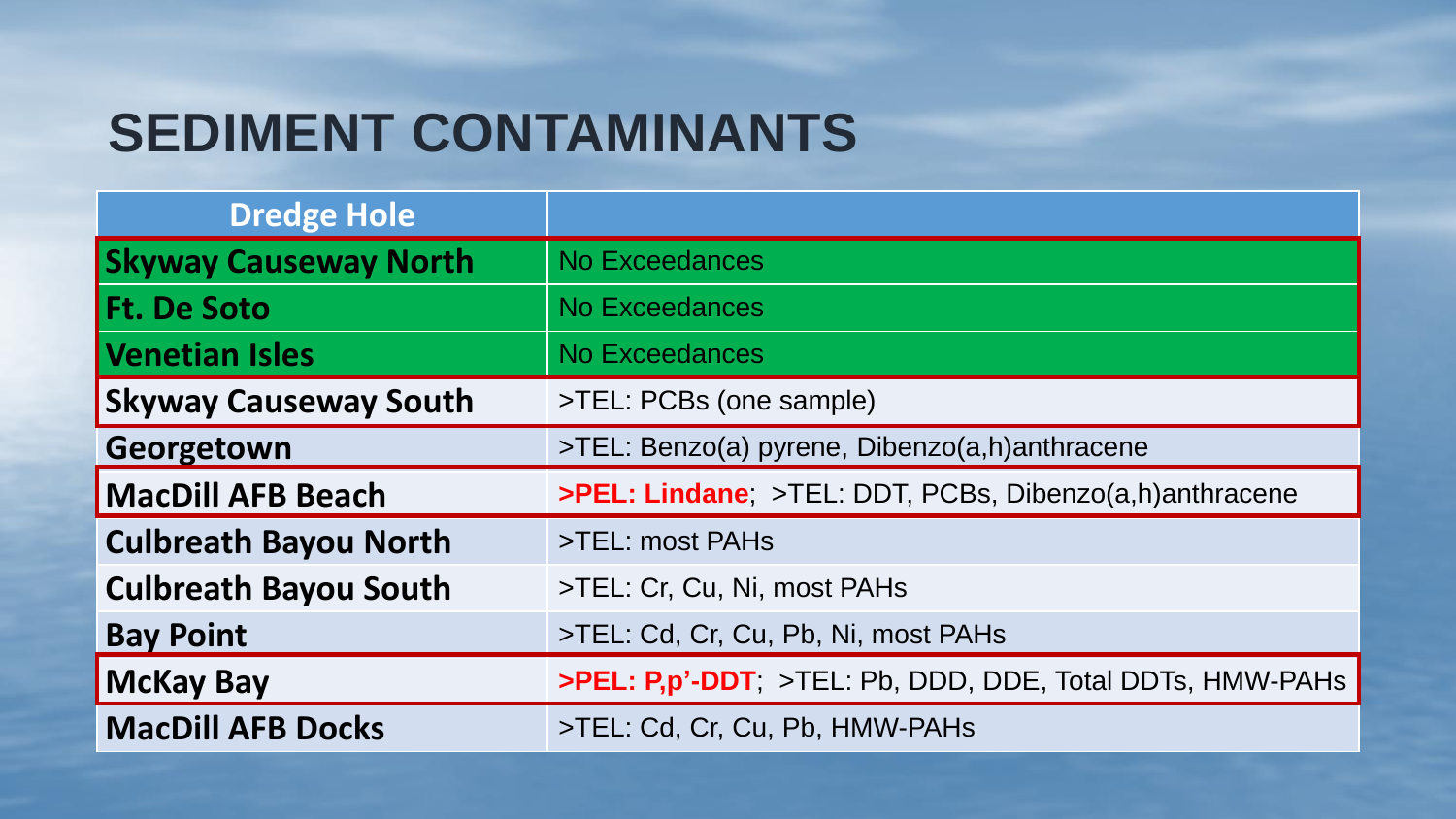# **SEDIMENT CONTAMINANTS**

| <b>Dredge Hole</b>           |                                                          |
|------------------------------|----------------------------------------------------------|
| <b>Skyway Causeway North</b> | <b>No Exceedances</b>                                    |
| <b>Ft. De Soto</b>           | <b>No Exceedances</b>                                    |
| <b>Venetian Isles</b>        | No Exceedances                                           |
| <b>Skyway Causeway South</b> | >TEL: PCBs (one sample)                                  |
| Georgetown                   | >TEL: Benzo(a) pyrene, Dibenzo(a,h)anthracene            |
| <b>MacDill AFB Beach</b>     | >PEL: Lindane; >TEL: DDT, PCBs, Dibenzo(a,h)anthracene   |
| <b>Culbreath Bayou North</b> | >TEL: most PAHs                                          |
| <b>Culbreath Bayou South</b> | >TEL: Cr, Cu, Ni, most PAHs                              |
| <b>Bay Point</b>             | >TEL: Cd, Cr, Cu, Pb, Ni, most PAHs                      |
| <b>McKay Bay</b>             | >PEL: P,p'-DDT; >TEL: Pb, DDD, DDE, Total DDTs, HMW-PAHs |
| <b>MacDill AFB Docks</b>     | >TEL: Cd, Cr, Cu, Pb, HMW-PAHs                           |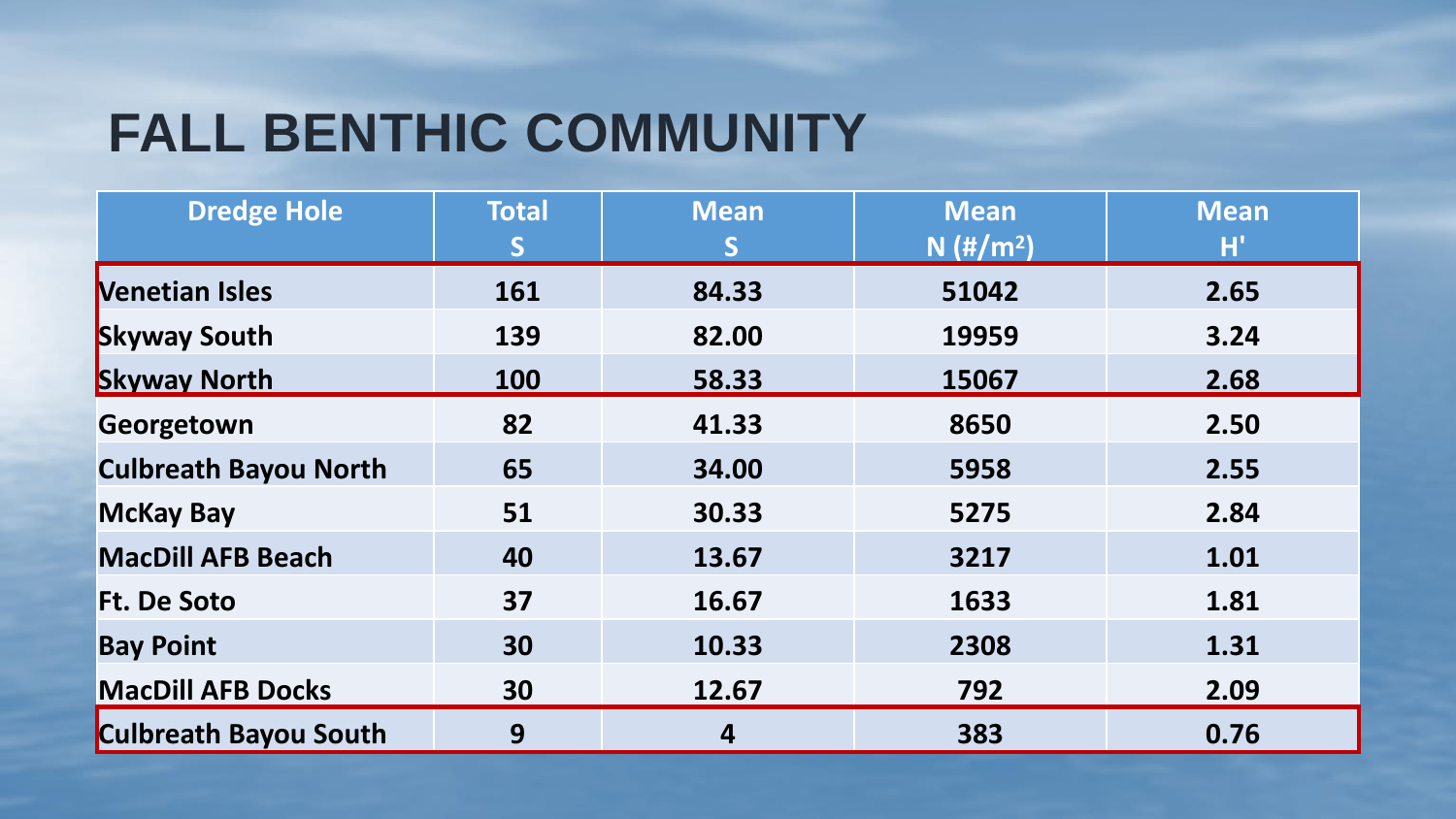# **FALL BENTHIC COMMUNITY**

| <b>Dredge Hole</b>           | <b>Total</b> | <b>Mean</b> | <b>Mean</b>             | Mean |
|------------------------------|--------------|-------------|-------------------------|------|
|                              | S            | S           | $N$ (#/m <sup>2</sup> ) | H)   |
| <b>Nenetian Isles</b>        | 161          | 84.33       | 51042                   | 2.65 |
| <b>Skyway South</b>          | 139          | 82.00       | 19959                   | 3.24 |
| <b>Skyway North</b>          | 100          | 58.33       | 15067                   | 2.68 |
| Georgetown                   | 82           | 41.33       | 8650                    | 2.50 |
| <b>Culbreath Bayou North</b> | 65           | 34.00       | 5958                    | 2.55 |
| <b>McKay Bay</b>             | 51           | 30.33       | 5275                    | 2.84 |
| <b>MacDill AFB Beach</b>     | 40           | 13.67       | 3217                    | 1.01 |
| <b>Ft. De Soto</b>           | 37           | 16.67       | 1633                    | 1.81 |
| <b>Bay Point</b>             | 30           | 10.33       | 2308                    | 1.31 |
| <b>MacDill AFB Docks</b>     | 30           | 12.67       | 792                     | 2.09 |
| <b>Culbreath Bayou South</b> | 9            | 4           | 383                     | 0.76 |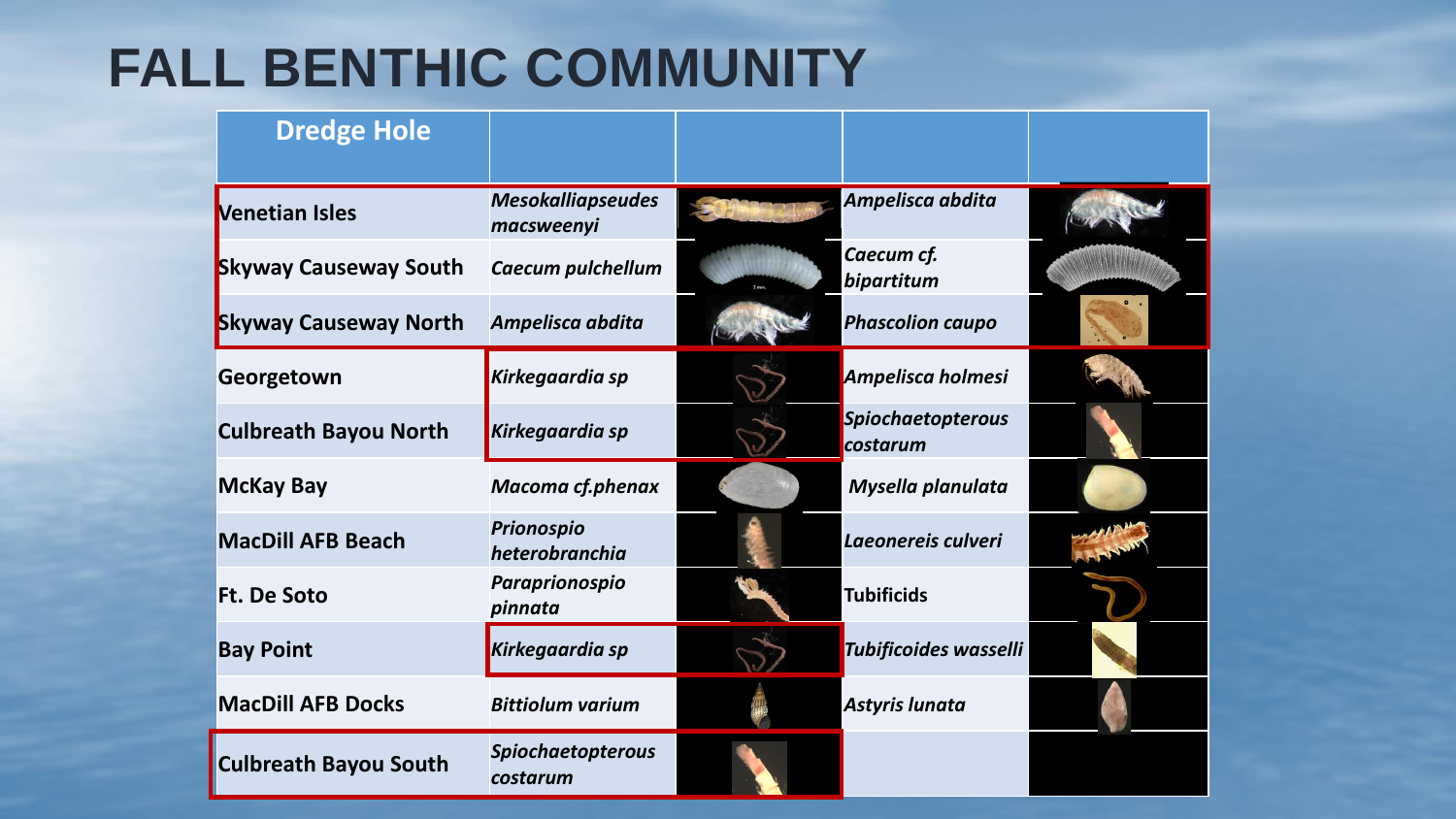# **FALL BENTHIC COMMUNITY**

| <b>Dredge Hole</b>           |                                        |                                      |  |
|------------------------------|----------------------------------------|--------------------------------------|--|
| <b>Venetian Isles</b>        | <b>Mesokalliapseudes</b><br>macsweenyi | Ampelisca abdita                     |  |
| <b>Skyway Causeway South</b> | Caecum pulchellum                      | Caecum cf.<br>bipartitum             |  |
| <b>Skyway Causeway North</b> | Ampelisca abdita                       | <b>Phascolion caupo</b>              |  |
| Georgetown                   | <b>Kirkegaardia sp</b>                 | Ampelisca holmesi                    |  |
| <b>Culbreath Bayou North</b> | <b>Kirkegaardia sp</b>                 | <b>Spiochaetopterous</b><br>costarum |  |
| <b>McKay Bay</b>             | <b>Macoma cf.phenax</b>                | Mysella planulata                    |  |
| <b>MacDill AFB Beach</b>     | <b>Prionospio</b><br>heterobranchia    | Laeonereis culveri                   |  |
| <b>Ft. De Soto</b>           | Paraprionospio<br>pinnata              | <b>Tubificids</b>                    |  |
| <b>Bay Point</b>             | Kirkegaardia sp                        | Tubificoides wasselli                |  |
| <b>MacDill AFB Docks</b>     | <b>Bittiolum varium</b>                | Astyris lunata                       |  |
| <b>Culbreath Bayou South</b> | <b>Spiochaetopterous</b><br>costarum   |                                      |  |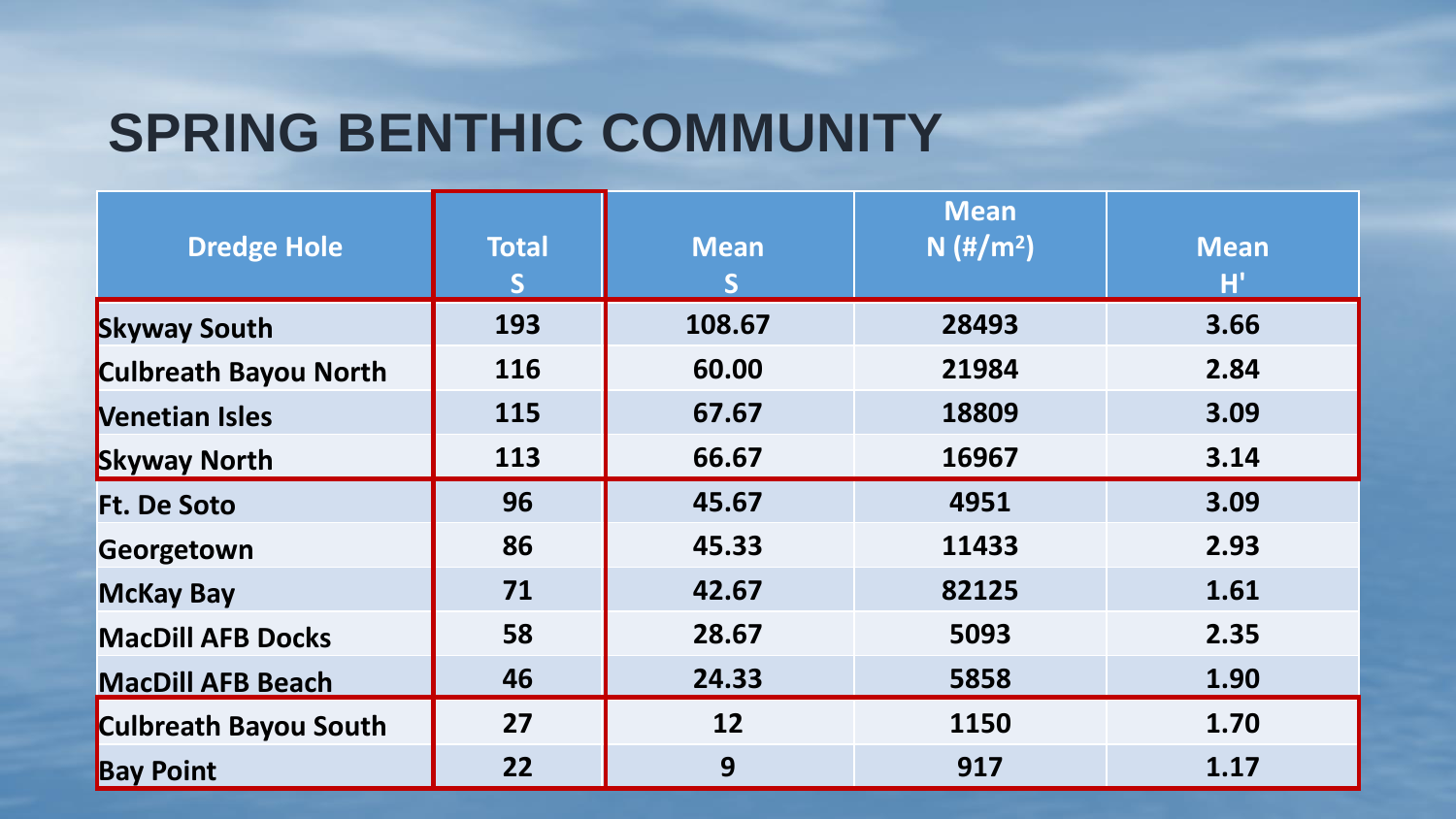# **SPRING BENTHIC COMMUNITY**

|                              |              |             | <b>Mean</b>             |             |
|------------------------------|--------------|-------------|-------------------------|-------------|
| <b>Dredge Hole</b>           | <b>Total</b> | <b>Mean</b> | $N$ (#/m <sup>2</sup> ) | <b>Mean</b> |
|                              | S            | S           |                         | H'          |
| <b>Skyway South</b>          | 193          | 108.67      | 28493                   | 3.66        |
| <b>Culbreath Bayou North</b> | 116          | 60.00       | 21984                   | 2.84        |
| <b>Nenetian Isles</b>        | 115          | 67.67       | 18809                   | 3.09        |
| <b>Skyway North</b>          | 113          | 66.67       | 16967                   | 3.14        |
| <b>Ft. De Soto</b>           | 96           | 45.67       | 4951                    | 3.09        |
| Georgetown                   | 86           | 45.33       | 11433                   | 2.93        |
| <b>McKay Bay</b>             | 71           | 42.67       | 82125                   | 1.61        |
| <b>MacDill AFB Docks</b>     | 58           | 28.67       | 5093                    | 2.35        |
| <b>MacDill AFB Beach</b>     | 46           | 24.33       | 5858                    | 1.90        |
| <b>Culbreath Bayou South</b> | 27           | 12          | 1150                    | 1.70        |
| <b>Bay Point</b>             | 22           | 9           | 917                     | 1.17        |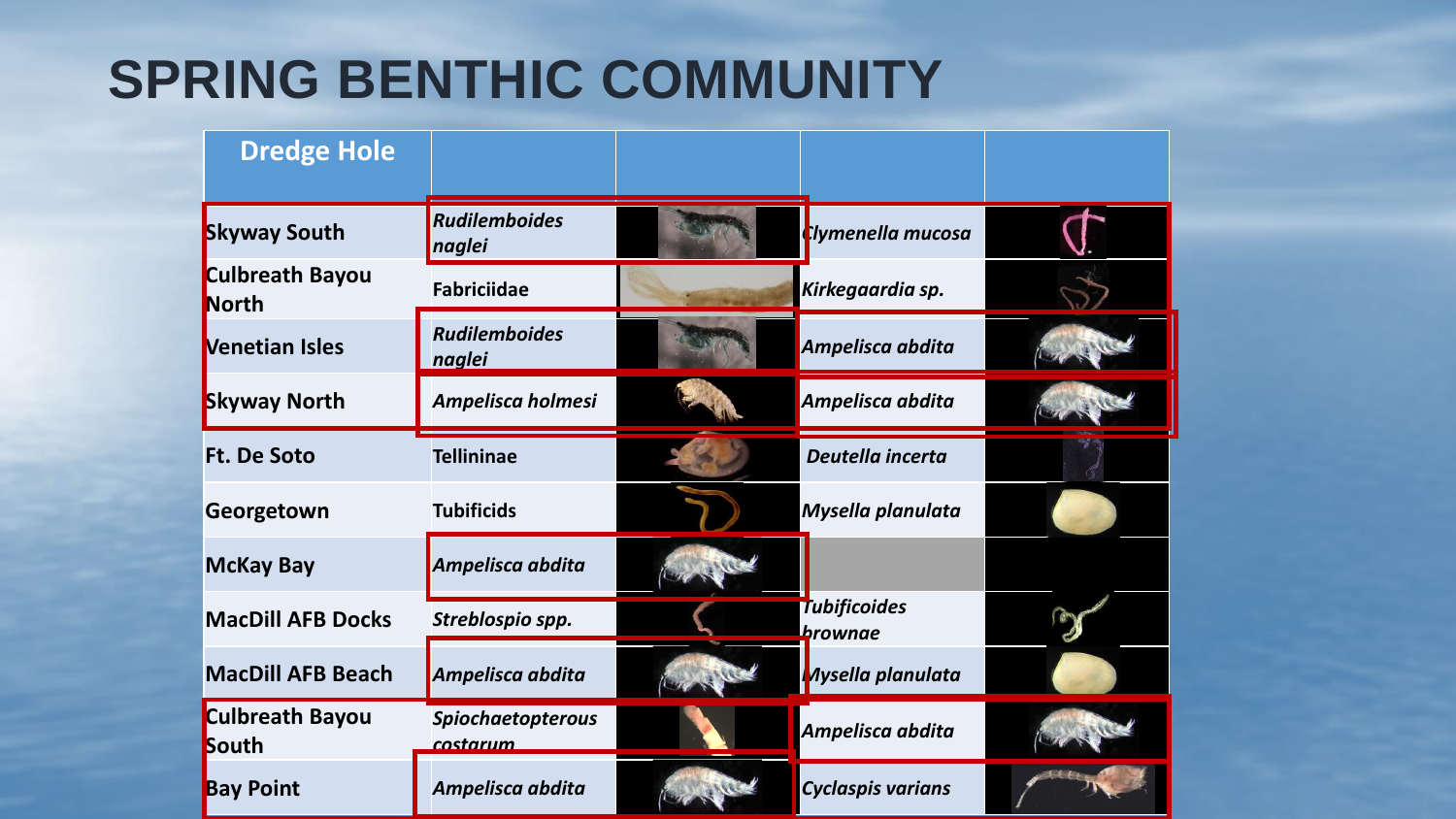# **SPRING BENTHIC COMMUNITY**

| <b>Dredge Hole</b>              |                                      |                                |  |
|---------------------------------|--------------------------------------|--------------------------------|--|
| <b>Skyway South</b>             | <b>Rudilemboides</b><br>naglei       | Clymenella mucosa              |  |
| Culbreath Bayou<br><b>North</b> | <b>Fabriciidae</b>                   | Kirkegaardia sp.               |  |
| <b>Nenetian Isles</b>           | <b>Rudilemboides</b><br>naglei       | Ampelisca abdita               |  |
| <b>Skyway North</b>             | Ampelisca holmesi                    | Ampelisca abdita               |  |
| <b>Ft. De Soto</b>              | <b>Tellininae</b>                    | Deutella incerta               |  |
| Georgetown                      | <b>Tubificids</b>                    | Mysella planulata              |  |
| <b>McKay Bay</b>                | Ampelisca abdita                     |                                |  |
| <b>MacDill AFB Docks</b>        | Streblospio spp.                     | <b>Tubificoides</b><br>brownae |  |
| <b>MacDill AFB Beach</b>        | Ampelisca abdita                     | <b>Aysella planulata</b>       |  |
| <b>Culbreath Bayou</b><br>South | <b>Spiochaetopterous</b><br>costarum | Ampelisca abdita               |  |
| <b>Bay Point</b>                | Ampelisca abdita                     | <b>Cyclaspis varians</b>       |  |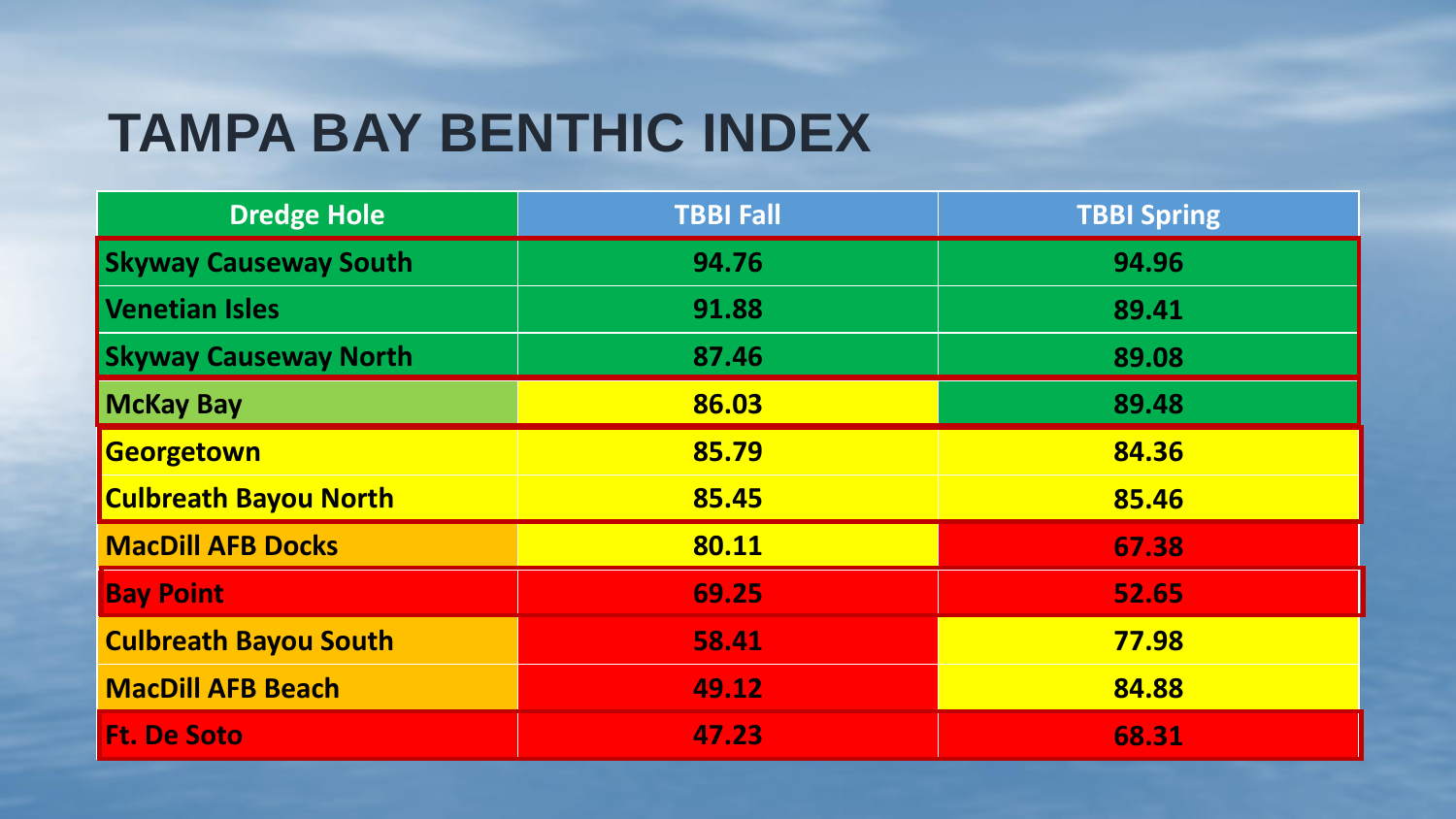# **TAMPA BAY BENTHIC INDEX**

| <b>Dredge Hole</b>           | <b>TBBI Fall</b> | <b>TBBI Spring</b> |
|------------------------------|------------------|--------------------|
| <b>Skyway Causeway South</b> | 94.76            | 94.96              |
| Venetian Isles               | 91.88            | 89.41              |
| <b>Skyway Causeway North</b> | 87.46            | 89.08              |
| <b>McKay Bay</b>             | 86.03            | 89.48              |
| Georgetown                   | 85.79            | 84.36              |
| <b>Culbreath Bayou North</b> | 85.45            | 85.46              |
| <b>MacDill AFB Docks</b>     | 80.11            | 67.38              |
| <b>Bay Point</b>             | 69.25            | 52.65              |
| <b>Culbreath Bayou South</b> | 58.41            | 77.98              |
| <b>MacDill AFB Beach</b>     | 49.12            | 84.88              |
| <b>Ft. De Soto</b>           | 47.23            | 68.31              |